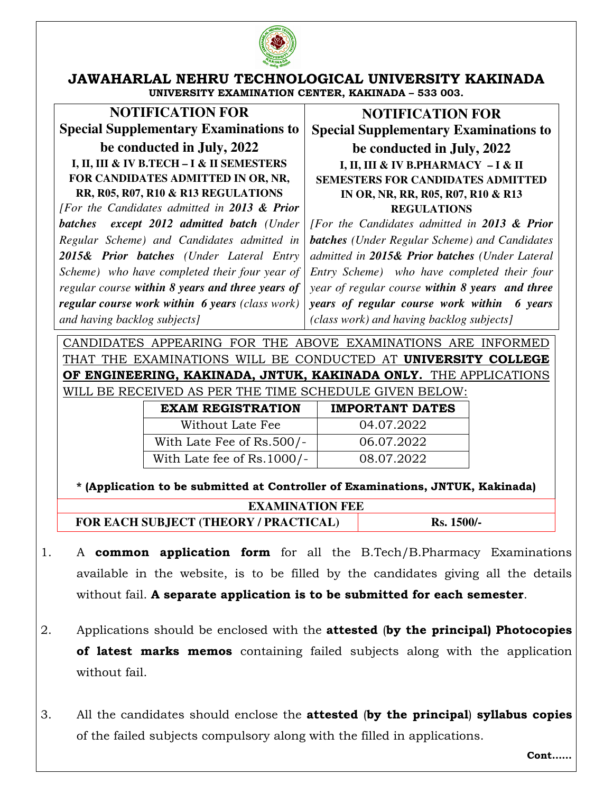

## **JAWAHARLAL NEHRU TECHNOLOGICAL UNIVERSITY KAKINADA UNIVERSITY EXAMINATION CENTER, KAKINADA – 533 003.**

**NOTIFICATION FOR Special Supplementary Examinations to** 

**be conducted in July, 2022 I, II, III & IV B.TECH – I & II SEMESTERS FOR CANDIDATES ADMITTED IN OR, NR, RR, R05, R07, R10 & R13 REGULATIONS** 

*[For the Candidates admitted in 2013 & Prior batches except 2012 admitted batch (Under Regular Scheme) and Candidates admitted in 2015& Prior batches (Under Lateral Entry Scheme) who have completed their four year of regular course within 8 years and three years of regular course work within 6 years (class work) and having backlog subjects]*

**NOTIFICATION FOR Special Supplementary Examinations to be conducted in July, 2022 I, II, III & IV B.PHARMACY – I & II SEMESTERS FOR CANDIDATES ADMITTED IN OR, NR, RR, R05, R07, R10 & R13 REGULATIONS** 

*[For the Candidates admitted in 2013 & Prior batches (Under Regular Scheme) and Candidates admitted in 2015& Prior batches (Under Lateral Entry Scheme) who have completed their four year of regular course within 8 years and three years of regular course work within 6 years (class work) and having backlog subjects]*

CANDIDATES APPEARING FOR THE ABOVE EXAMINATIONS ARE INFORMED THAT THE EXAMINATIONS WILL BE CONDUCTED AT **UNIVERSITY COLLEGE OF ENGINEERING, KAKINADA, JNTUK, KAKINADA ONLY.** THE APPLICATIONS WILL BE RECEIVED AS PER THE TIME SCHEDULE GIVEN BELOW:

| <b>EXAM REGISTRATION</b>   | <b>IMPORTANT DATES</b> |
|----------------------------|------------------------|
| Without Late Fee           | 04.07.2022             |
| With Late Fee of Rs.500/-  | 06.07.2022             |
| With Late fee of Rs.1000/- | 08.07.2022             |

**\* (Application to be submitted at Controller of Examinations, JNTUK, Kakinada)** 

| <b>EXAMINATION FEE</b>                |              |  |
|---------------------------------------|--------------|--|
| FOR EACH SUBJECT (THEORY / PRACTICAL) | $Rs. 1500/-$ |  |

- 1. A **common application form** for all the B.Tech/B.Pharmacy Examinations available in the website, is to be filled by the candidates giving all the details without fail. **A separate application is to be submitted for each semester**.
- 2. Applications should be enclosed with the **attested** (**by the principal) Photocopies of latest marks memos** containing failed subjects along with the application without fail.
- 3. All the candidates should enclose the **attested** (**by the principal**) **syllabus copies** of the failed subjects compulsory along with the filled in applications.

**Cont……**